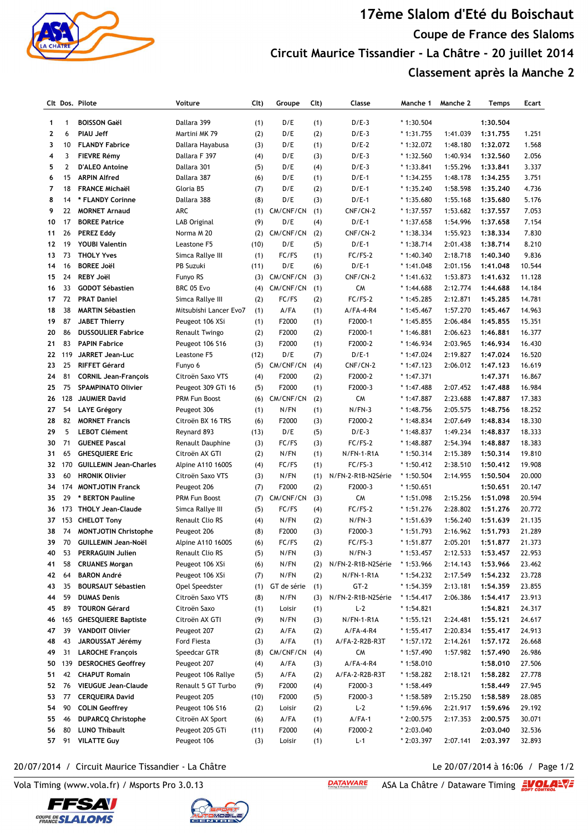

## **17ème Slalom d'Eté du Boischaut Coupe de France des Slaloms Circuit Maurice Tissandier - La Châtre - 20 juillet 2014 Classement après la Manche 2**

|              |                | Clt Dos. Pilote                       | Voiture                  | Clt) | Groupe      | Cl <sub>t</sub> | Classe             | Manche 1    | Manche 2 | Temps    | Ecart  |
|--------------|----------------|---------------------------------------|--------------------------|------|-------------|-----------------|--------------------|-------------|----------|----------|--------|
| $\mathbf{1}$ | $\mathbf{1}$   | <b>BOISSON Gaël</b>                   | Dallara 399              | (1)  | D/E         | (1)             | $D/E-3$            | $*1:30.504$ |          | 1:30.504 |        |
| $\mathbf{2}$ | 6              | <b>PIAU Jeff</b>                      | Martini MK 79            | (2)  | D/E         | (2)             | $D/E-3$            | $*1:31.755$ | 1:41.039 | 1:31.755 | 1.251  |
| 3            | 10             | <b>FLANDY Fabrice</b>                 | Dallara Hayabusa         | (3)  | D/E         | (1)             | $D/E-2$            | $*1:32.072$ | 1:48.180 | 1:32.072 | 1.568  |
| 4            | 3              | <b>FIEVRE Rémy</b>                    | Dallara F 397            | (4)  | D/E         | (3)             | $D/E-3$            | $*1:32.560$ | 1:40.934 | 1:32.560 | 2.056  |
| 5            | $\overline{2}$ | <b>D'ALEO Antoine</b>                 | Dallara 301              | (5)  | D/E         | (4)             | $D/E-3$            | $*1:33.841$ | 1:55.296 | 1:33.841 | 3.337  |
| 6            | 15             | <b>ARPIN Alfred</b>                   | Dallara 387              | (6)  | D/E         | (1)             | $D/E-1$            | $*1:34.255$ | 1:48.178 | 1:34.255 | 3.751  |
| 7            | 18             | <b>FRANCE Michaël</b>                 | Gloria B5                | (7)  | D/E         | (2)             | $D/E-1$            | $*1:35.240$ | 1:58.598 | 1:35.240 | 4.736  |
| 8            | 14             | * FLANDY Corinne                      | Dallara 388              | (8)  | D/E         | (3)             | $D/E-1$            | $*1:35.680$ | 1:55.168 | 1:35.680 | 5.176  |
| 9            | 22             | <b>MORNET Arnaud</b>                  | ARC                      | (1)  | CM/CNF/CN   | (1)             | CNF/CN-2           | $*1:37.557$ | 1:53.682 | 1:37.557 | 7.053  |
| 10           | 17             | <b>BOREE Patrice</b>                  | LAB Original             | (9)  | D/E         | (4)             | $D/E-1$            | $*1:37.658$ | 1:54.996 | 1:37.658 | 7.154  |
| 11           | 26             | <b>PEREZ Eddy</b>                     | Norma M 20               | (2)  | CM/CNF/CN   | (2)             | CNF/CN-2           | $*1:38.334$ | 1:55.923 | 1:38.334 | 7.830  |
| 12           | 19             | <b>YOUBI Valentin</b>                 | Leastone F5              | (10) | D/E         | (5)             | $D/E-1$            | $*1:38.714$ | 2:01.438 | 1:38.714 | 8.210  |
| 13           | 73             | <b>THOLY Yves</b>                     | Simca Rallye III         | (1)  | FC/FS       | (1)             | FC/FS-2            | $*1:40.340$ | 2:18.718 | 1:40.340 | 9.836  |
|              | 16             |                                       |                          |      |             |                 |                    |             |          |          |        |
| 14<br>15     | 24             | <b>BOREE Joël</b><br><b>REBY Joël</b> | PB Suzuki                | (11) | D/E         | (6)             | $D/E-1$            | $*1:41.048$ | 2:01.156 | 1:41.048 | 10.544 |
|              |                |                                       | Funyo RS                 | (3)  | CM/CNF/CN   | (3)             | CNF/CN-2           | $*1:41.632$ | 1:53.873 | 1:41.632 | 11.128 |
| 16           | 33             | <b>GODOT Sébastien</b>                | BRC 05 Evo               | (4)  | CM/CNF/CN   | (1)             | <b>CM</b>          | * 1:44.688  | 2:12.774 | 1:44.688 | 14.184 |
| 17           | 72             | <b>PRAT Daniel</b>                    | Simca Rallye III         | (2)  | FC/FS       | (2)             | FC/FS-2            | $*1:45.285$ | 2:12.871 | 1:45.285 | 14.781 |
| 18           | 38             | <b>MARTIN Sébastien</b>               | Mitsubishi Lancer Evo7   | (1)  | A/FA        | (1)             | $A/FA-4-R4$        | $*1:45.467$ | 1:57.270 | 1:45.467 | 14.963 |
| 19           | 87             | <b>JABET Thierry</b>                  | Peugeot 106 XSi          | (1)  | F2000       | (1)             | F2000-1            | * 1:45.855  | 2:06.484 | 1:45.855 | 15.351 |
| 20           | 86             | <b>DUSSOULIER Fabrice</b>             | Renault Twingo           | (2)  | F2000       | (2)             | F2000-1            | * 1:46.881  | 2:06.623 | 1:46.881 | 16.377 |
| 21           | 83             | <b>PAPIN Fabrice</b>                  | Peugeot 106 S16          | (3)  | F2000       | (1)             | F2000-2            | $*1:46.934$ | 2:03.965 | 1:46.934 | 16.430 |
| 22           | 119            | <b>JARRET Jean-Luc</b>                | Leastone F5              | (12) | D/E         | (7)             | $D/E-1$            | $*1:47.024$ | 2:19.827 | 1:47.024 | 16.520 |
| 23           | 25             | <b>RIFFET Gérard</b>                  | Funyo 6                  | (5)  | CM/CNF/CN   | (4)             | CNF/CN-2           | $*1:47.123$ | 2:06.012 | 1:47.123 | 16.619 |
| 24           | 81             | <b>CORNIL Jean-François</b>           | Citroën Saxo VTS         | (4)  | F2000       | (2)             | F2000-2            | $*1:47.371$ |          | 1:47.371 | 16.867 |
| 25           | 75             | <b>SPAMPINATO Olivier</b>             | Peugeot 309 GTi 16       | (5)  | F2000       | (1)             | F2000-3            | $*1:47.488$ | 2:07.452 | 1:47.488 | 16.984 |
| 26           | 128            | <b>JAUMIER David</b>                  | <b>PRM Fun Boost</b>     | (6)  | CM/CNF/CN   | (2)             | <b>CM</b>          | * 1:47.887  | 2:23.688 | 1:47.887 | 17.383 |
| 27           | 54             | <b>LAYE Grégory</b>                   | Peugeot 306              | (1)  | N/FN        | (1)             | $N/FN-3$           | $*1:48.756$ | 2:05.575 | 1:48.756 | 18.252 |
| 28           | 82             | <b>MORNET Francis</b>                 | Citroën BX 16 TRS        | (6)  | F2000       | (3)             | F2000-2            | $*1:48.834$ | 2:07.649 | 1:48.834 | 18.330 |
| 29           | 5              | <b>LEBOT Clément</b>                  | Reynard 893              | (13) | D/E         | (5)             | $D/E-3$            | $*1:48.837$ | 1:49.234 | 1:48.837 | 18.333 |
| 30           | 71             | <b>GUENEE Pascal</b>                  | Renault Dauphine         | (3)  | FC/FS       | (3)             | $FC/FS-2$          | $*1:48.887$ | 2:54.394 | 1:48.887 | 18.383 |
| 31           | 65             | <b>GHESQUIERE Eric</b>                | Citroën AX GTI           | (2)  | N/FN        | (1)             | N/FN-1-R1A         | $*1:50.314$ | 2:15.389 | 1:50.314 | 19.810 |
| 32           | 170            | <b>GUILLEMIN Jean-Charles</b>         | <b>Alpine A110 1600S</b> | (4)  | FC/FS       | (1)             | $FC/FS-3$          | $*1:50.412$ | 2:38.510 | 1:50.412 | 19.908 |
| 33           | 60             | <b>HRONIK Olivier</b>                 | Citroën Saxo VTS         | (3)  | N/FN        | (1)             | N/FN-2-R1B-N2Série | * 1:50.504  | 2:14.955 | 1:50.504 | 20.000 |
| 34           |                | 174 MONTJOTIN Franck                  | Peugeot 206              | (7)  | F2000       | (2)             | F2000-3            | $*1:50.651$ |          | 1:50.651 | 20.147 |
| 35           | 29             | * BERTON Pauline                      | PRM Fun Boost            | (7)  | CM/CNF/CN   | (3)             | <b>CM</b>          | * 1:51.098  | 2:15.256 | 1:51.098 | 20.594 |
| 36           |                | 173 THOLY Jean-Claude                 | Simca Rallye III         | (5)  | FC/FS       | (4)             | FC/FS-2            | $*1:51.276$ | 2:28.802 | 1:51.276 | 20.772 |
| 37           |                | 153 CHELOT Tony                       | <b>Renault Clio RS</b>   | (4)  | N/FN        | (2)             | $N/FN-3$           | $*1:51.639$ | 1:56.240 | 1:51.639 | 21.135 |
| 38           | 74             | <b>MONTJOTIN Christophe</b>           | Peugeot 206              | (8)  | F2000       | (3)             | F2000-3            | * 1:51.793  | 2:16.962 | 1:51.793 | 21.289 |
| 39           | 70             | <b>GUILLEMIN Jean-Noël</b>            | Alpine A110 1600S        | (6)  | FC/FS       | (2)             | FC/FS-3            | * 1:51.877  | 2:05.201 | 1:51.877 | 21.373 |
| 40           | 53             | PERRAGUIN Julien                      | Renault Clio RS          | (5)  | N/FN        | (3)             | $N/FN-3$           | $*1:53.457$ | 2:12.533 | 1:53.457 | 22.953 |
| 41           | 58             | <b>CRUANES Morgan</b>                 | Peugeot 106 XSi          | (6)  | N/FN        | (2)             | N/FN-2-R1B-N2Série | $*1:53.966$ | 2:14.143 | 1:53.966 | 23.462 |
| 42           | 64             | <b>BARON André</b>                    | Peugeot 106 XSi          |      | N/FN        | (2)             |                    |             | 2:17.549 |          | 23.728 |
|              |                |                                       |                          | (7)  |             |                 | N/FN-1-R1A         | * 1:54.232  |          | 1:54.232 |        |
| 43           | 35             | <b>BOURSAUT Sébastien</b>             | Opel Speedster           | (1)  | GT de série | (1)             | $GT-2$             | $*1:54.359$ | 2:13.181 | 1:54.359 | 23.855 |
| 44           | 59             | <b>DUMAS Denis</b>                    | Citroën Saxo VTS         | (8)  | N/FN        | (3)             | N/FN-2-R1B-N2Série | $*1:54.417$ | 2:06.386 | 1:54.417 | 23.913 |
| 45           | 89             | <b>TOURON Gérard</b>                  | Citroën Saxo             | (1)  | Loisir      | (1)             | $L-2$              | $*1:54.821$ |          | 1:54.821 | 24.317 |
| 46           | 165            | <b>GHESQUIERE Baptiste</b>            | Citroën AX GTI           | (9)  | N/FN        | (3)             | N/FN-1-R1A         | $*1:55.121$ | 2:24.481 | 1:55.121 | 24.617 |
| 47           | 39             | <b>VANDOIT Olivier</b>                | Peugeot 207              | (2)  | A/FA        | (2)             | A/FA-4-R4          | $*1:55.417$ | 2:20.834 | 1:55.417 | 24.913 |
| 48           | 43             | JAROUSSAT Jérémy                      | <b>Ford Fiesta</b>       | (3)  | A/FA        | (1)             | A/FA-2-R2B-R3T     | * 1:57.172  | 2:14.261 | 1:57.172 | 26.668 |
| 49           | 31             | <b>LAROCHE François</b>               | Speedcar GTR             | (8)  | CM/CNF/CN   | (4)             | CM                 | $*1:57.490$ | 1:57.982 | 1:57.490 | 26.986 |
| 50           | 139            | <b>DESROCHES Geoffrey</b>             | Peugeot 207              | (4)  | A/FA        | (3)             | $A/FA-4-R4$        | $*1:58.010$ |          | 1:58.010 | 27.506 |
| 51           | 42             | <b>CHAPUT Romain</b>                  | Peugeot 106 Rallye       | (5)  | A/FA        | (2)             | A/FA-2-R2B-R3T     | * 1:58.282  | 2:18.121 | 1:58.282 | 27.778 |
| 52           | 76             | <b>VIEUGUE Jean-Claude</b>            | Renault 5 GT Turbo       | (9)  | F2000       | (4)             | F2000-3            | * 1:58.449  |          | 1:58.449 | 27.945 |
| 53           | 77             | <b>CERQUEIRA David</b>                | Peugeot 205              | (10) | F2000       | (5)             | F2000-3            | * 1:58.589  | 2:15.250 | 1:58.589 | 28.085 |
| 54           | 90             | <b>COLIN Geoffrey</b>                 | Peugeot 106 S16          | (2)  | Loisir      | (2)             | $L-2$              | $*1:59.696$ | 2:21.917 | 1:59.696 | 29.192 |
| 55           | 46             | <b>DUPARCQ Christophe</b>             | Citroën AX Sport         | (6)  | A/FA        | (1)             | $A/FA-1$           | * 2:00.575  | 2:17.353 | 2:00.575 | 30.071 |
| 56           | 80             | <b>LUNO Thibault</b>                  | Peugeot 205 GTi          | (11) | F2000       | (4)             | F2000-2            | * 2:03.040  |          | 2:03.040 | 32.536 |
| 57           | 91             | <b>VILATTE Guy</b>                    | Peugeot 106              | (3)  | Loisir      | (1)             | $L - 1$            | $*2:03.397$ | 2:07.141 | 2:03.397 | 32.893 |

## 20/07/2014 / Circuit Maurice Tissandier - La Châtre Le 2007/2014 à 16:06 / Page 1/2